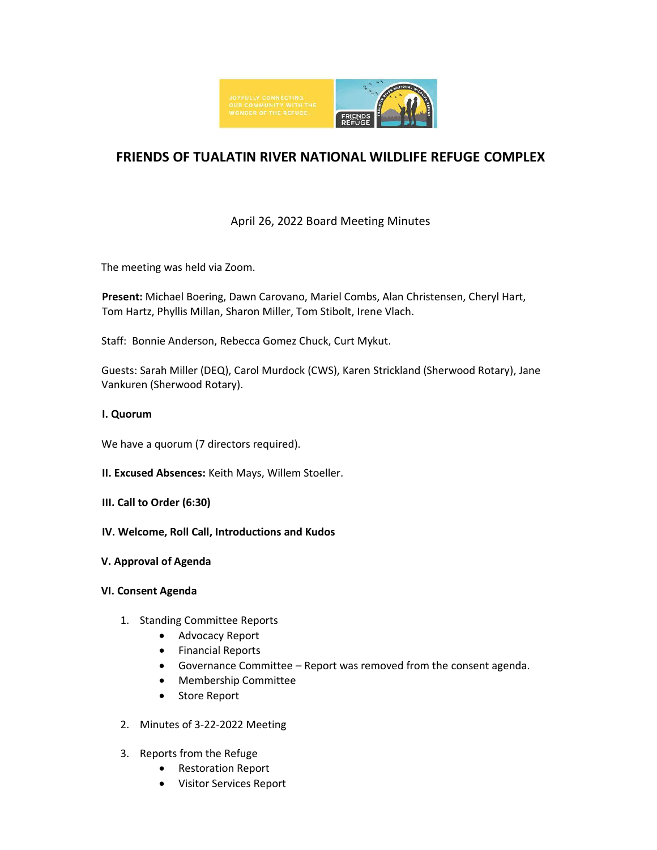

# **FRIENDS OF TUALATIN RIVER NATIONAL WILDLIFE REFUGE COMPLEX**

# April 26, 2022 Board Meeting Minutes

The meeting was held via Zoom.

**Present:** Michael Boering, Dawn Carovano, Mariel Combs, Alan Christensen, Cheryl Hart, Tom Hartz, Phyllis Millan, Sharon Miller, Tom Stibolt, Irene Vlach.

Staff: Bonnie Anderson, Rebecca Gomez Chuck, Curt Mykut.

Guests: Sarah Miller (DEQ), Carol Murdock (CWS), Karen Strickland (Sherwood Rotary), Jane Vankuren (Sherwood Rotary).

#### **I. Quorum**

We have a quorum (7 directors required).

- **II. Excused Absences:** Keith Mays, Willem Stoeller.
- **III. Call to Order (6:30)**
- **IV. Welcome, Roll Call, Introductions and Kudos**
- **V. Approval of Agenda**

# **VI. Consent Agenda**

- 1. Standing Committee Reports
	- Advocacy Report
	- Financial Reports
	- Governance Committee Report was removed from the consent agenda.
	- Membership Committee
	- Store Report
- 2. Minutes of 3-22-2022 Meeting
- 3. Reports from the Refuge
	- Restoration Report
	- Visitor Services Report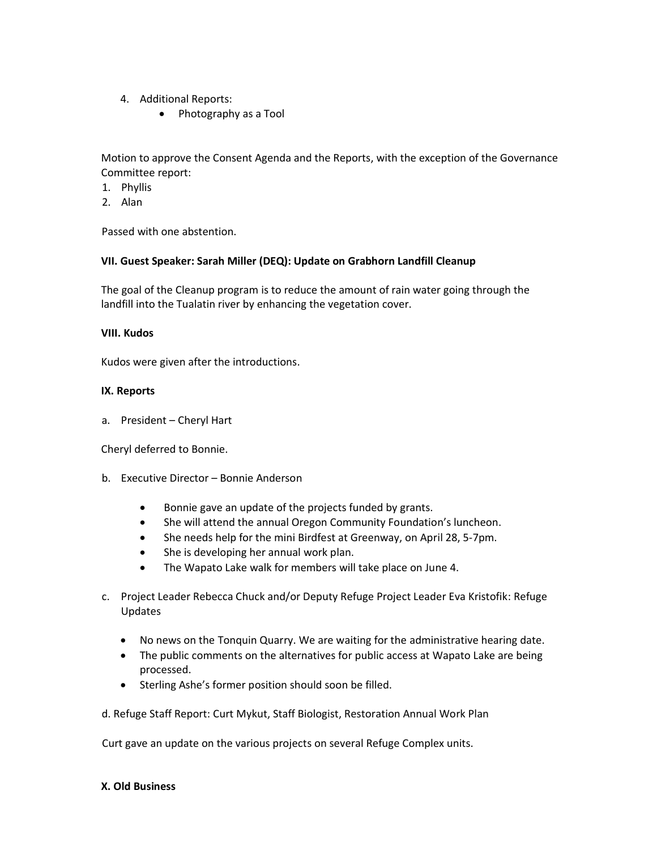- 4. Additional Reports:
	- Photography as a Tool

Motion to approve the Consent Agenda and the Reports, with the exception of the Governance Committee report:

- 1. Phyllis
- 2. Alan

Passed with one abstention.

#### **VII. Guest Speaker: Sarah Miller (DEQ): Update on Grabhorn Landfill Cleanup**

The goal of the Cleanup program is to reduce the amount of rain water going through the landfill into the Tualatin river by enhancing the vegetation cover.

#### **VIII. Kudos**

Kudos were given after the introductions.

#### **IX. Reports**

a. President – Cheryl Hart

Cheryl deferred to Bonnie.

# b. Executive Director – Bonnie Anderson

- Bonnie gave an update of the projects funded by grants.
- She will attend the annual Oregon Community Foundation's luncheon.
- She needs help for the mini Birdfest at Greenway, on April 28, 5-7pm.
- She is developing her annual work plan.
- The Wapato Lake walk for members will take place on June 4.
- c. Project Leader Rebecca Chuck and/or Deputy Refuge Project Leader Eva Kristofik: Refuge Updates
	- No news on the Tonquin Quarry. We are waiting for the administrative hearing date.
	- The public comments on the alternatives for public access at Wapato Lake are being processed.
	- Sterling Ashe's former position should soon be filled.

d. Refuge Staff Report: Curt Mykut, Staff Biologist, Restoration Annual Work Plan

Curt gave an update on the various projects on several Refuge Complex units.